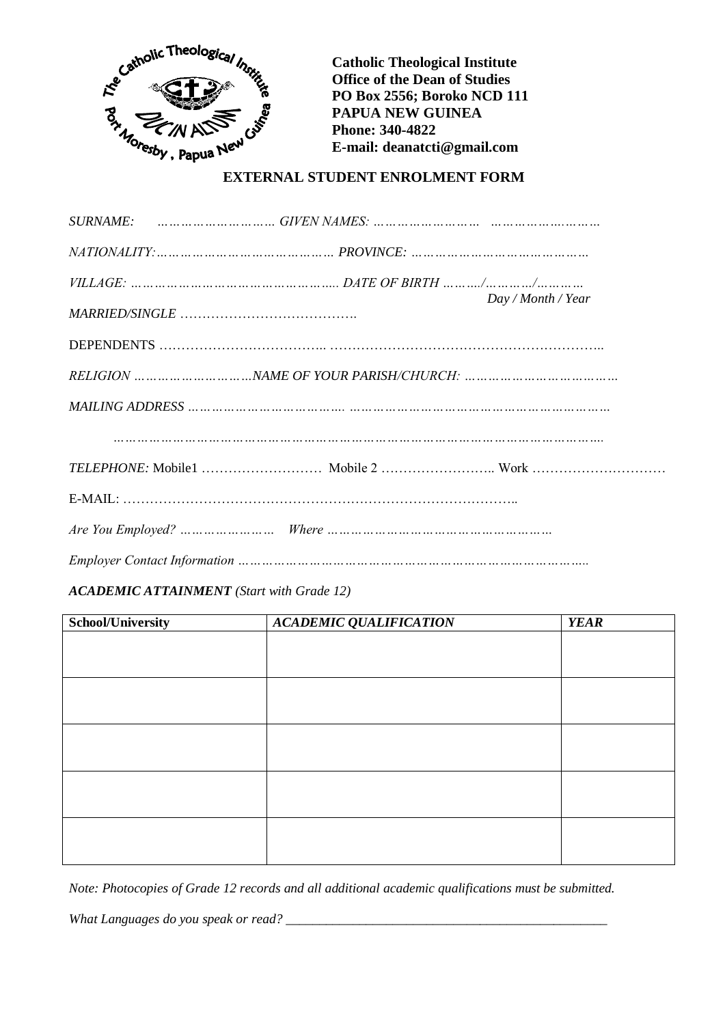

**Catholic Theological Institute Office of the Dean of Studies PO Box 2556; Boroko NCD 111 PAPUA NEW GUINEA Phone: 340-4822 E-mail: deanatcti@gmail.com**

## **EXTERNAL STUDENT ENROLMENT FORM**

|  | Day / Month / Year |  |
|--|--------------------|--|
|  |                    |  |
|  |                    |  |
|  |                    |  |
|  |                    |  |
|  |                    |  |
|  |                    |  |
|  |                    |  |

## *ACADEMIC ATTAINMENT (Start with Grade 12)*

| School/University | <b>ACADEMIC QUALIFICATION</b> | <b>YEAR</b> |
|-------------------|-------------------------------|-------------|
|                   |                               |             |
|                   |                               |             |
|                   |                               |             |
|                   |                               |             |
|                   |                               |             |
|                   |                               |             |
|                   |                               |             |
|                   |                               |             |
|                   |                               |             |
|                   |                               |             |
|                   |                               |             |
|                   |                               |             |
|                   |                               |             |

*Note: Photocopies of Grade 12 records and all additional academic qualifications must be submitted.*

*What Languages do you speak or read? \_\_\_\_\_\_\_\_\_\_\_\_\_\_\_\_\_\_\_\_\_\_\_\_\_\_\_\_\_\_\_\_\_\_\_\_\_\_\_\_\_\_\_\_\_\_\_\_*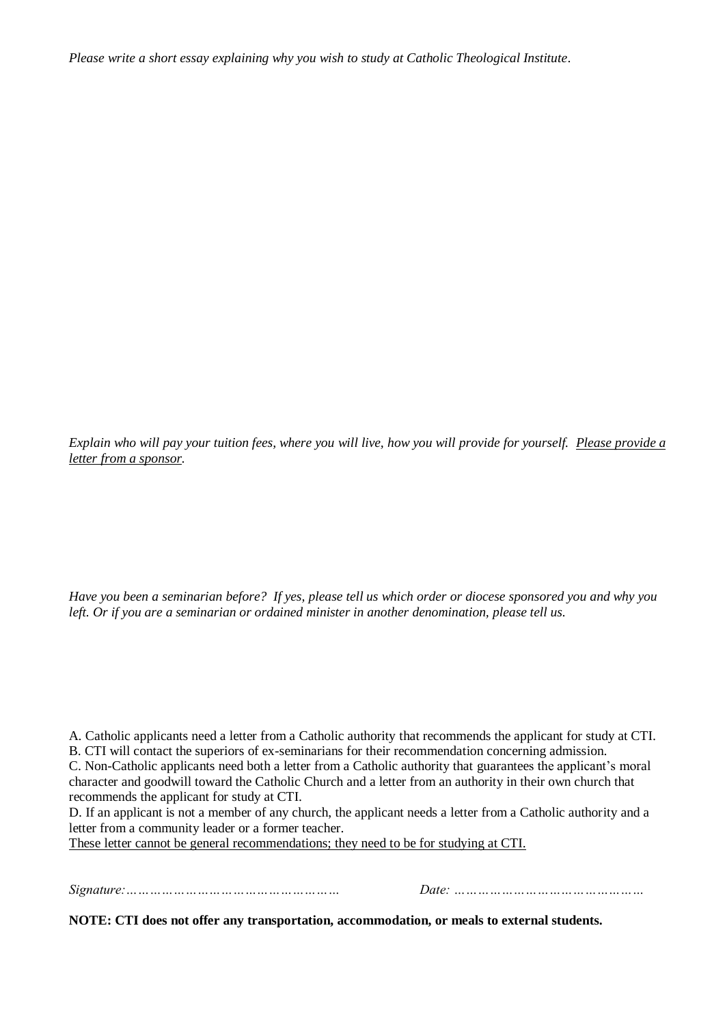*Please write a short essay explaining why you wish to study at Catholic Theological Institute*.

*Explain who will pay your tuition fees, where you will live, how you will provide for yourself. Please provide a letter from a sponsor.*

*Have you been a seminarian before? If yes, please tell us which order or diocese sponsored you and why you left. Or if you are a seminarian or ordained minister in another denomination, please tell us.*

A. Catholic applicants need a letter from a Catholic authority that recommends the applicant for study at CTI*.* B. CTI will contact the superiors of ex-seminarians for their recommendation concerning admission.

C. Non-Catholic applicants need both a letter from a Catholic authority that guarantees the applicant's moral character and goodwill toward the Catholic Church and a letter from an authority in their own church that recommends the applicant for study at CTI.

D. If an applicant is not a member of any church, the applicant needs a letter from a Catholic authority and a letter from a community leader or a former teacher.

These letter cannot be general recommendations; they need to be for studying at CTI.

*Signature:……………………………………………… Date: …………………………………………*

**NOTE: CTI does not offer any transportation, accommodation, or meals to external students.**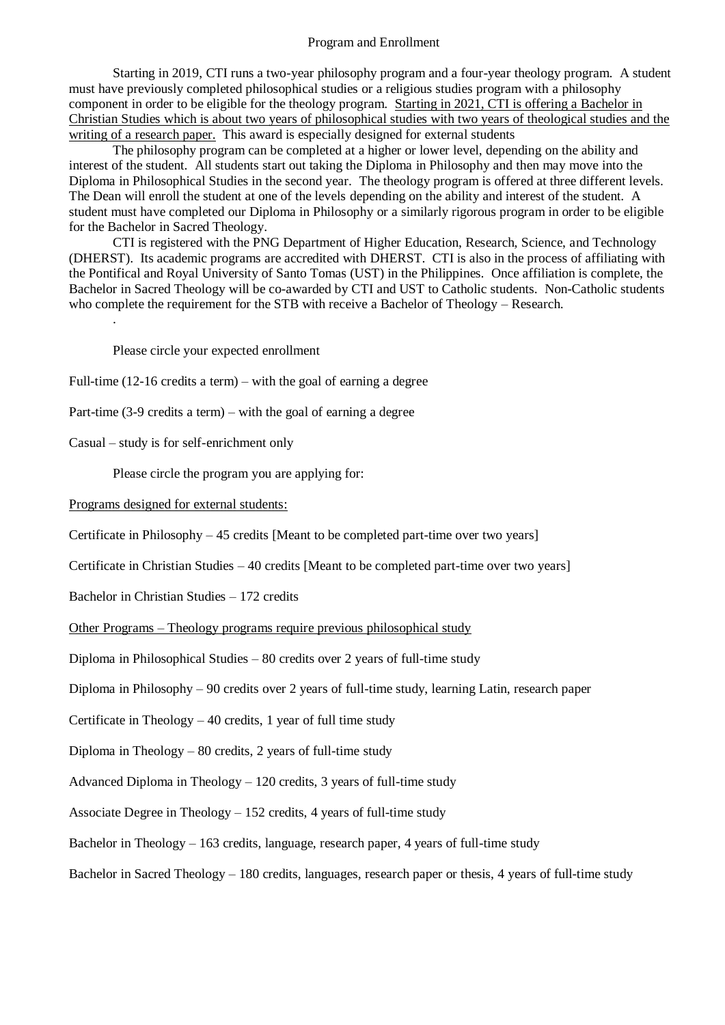## Program and Enrollment

Starting in 2019, CTI runs a two-year philosophy program and a four-year theology program. A student must have previously completed philosophical studies or a religious studies program with a philosophy component in order to be eligible for the theology program. Starting in 2021, CTI is offering a Bachelor in Christian Studies which is about two years of philosophical studies with two years of theological studies and the writing of a research paper. This award is especially designed for external students

The philosophy program can be completed at a higher or lower level, depending on the ability and interest of the student. All students start out taking the Diploma in Philosophy and then may move into the Diploma in Philosophical Studies in the second year. The theology program is offered at three different levels. The Dean will enroll the student at one of the levels depending on the ability and interest of the student. A student must have completed our Diploma in Philosophy or a similarly rigorous program in order to be eligible for the Bachelor in Sacred Theology.

CTI is registered with the PNG Department of Higher Education, Research, Science, and Technology (DHERST). Its academic programs are accredited with DHERST. CTI is also in the process of affiliating with the Pontifical and Royal University of Santo Tomas (UST) in the Philippines. Once affiliation is complete, the Bachelor in Sacred Theology will be co-awarded by CTI and UST to Catholic students. Non-Catholic students who complete the requirement for the STB with receive a Bachelor of Theology – Research.

Please circle your expected enrollment

- Full-time (12-16 credits a term) with the goal of earning a degree
- Part-time (3-9 credits a term) with the goal of earning a degree
- Casual study is for self-enrichment only

.

Please circle the program you are applying for:

Programs designed for external students:

Certificate in Philosophy – 45 credits [Meant to be completed part-time over two years]

Certificate in Christian Studies – 40 credits [Meant to be completed part-time over two years]

Bachelor in Christian Studies – 172 credits

Other Programs – Theology programs require previous philosophical study

Diploma in Philosophical Studies – 80 credits over 2 years of full-time study

Diploma in Philosophy – 90 credits over 2 years of full-time study, learning Latin, research paper

Certificate in Theology  $-40$  credits, 1 year of full time study

Diploma in Theology  $-80$  credits, 2 years of full-time study

Advanced Diploma in Theology  $-120$  credits, 3 years of full-time study

Associate Degree in Theology – 152 credits, 4 years of full-time study

Bachelor in Theology – 163 credits, language, research paper, 4 years of full-time study

Bachelor in Sacred Theology – 180 credits, languages, research paper or thesis, 4 years of full-time study